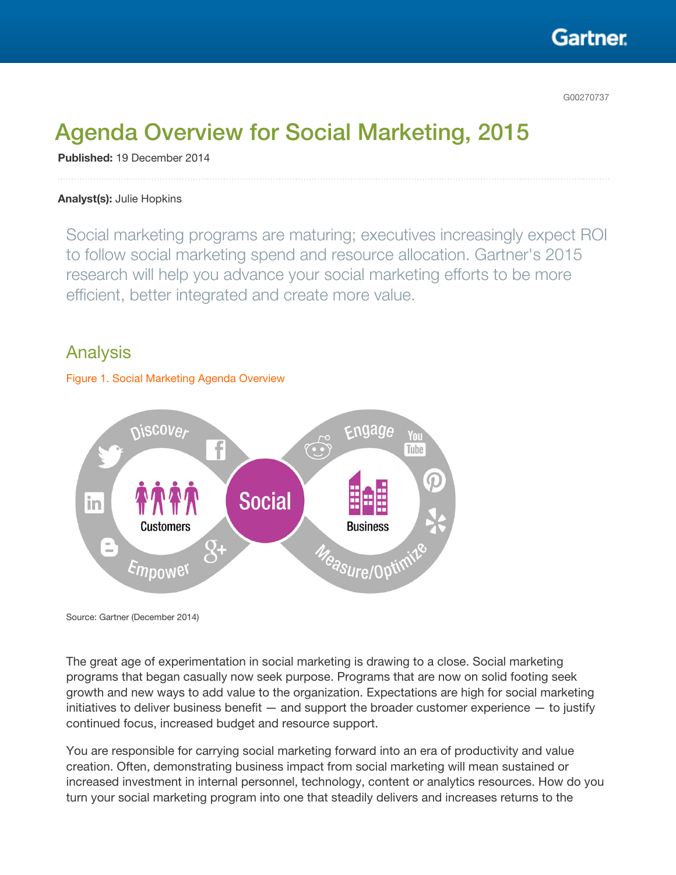

G00270737

# Agenda Overview for Social Marketing, 2015

Published: 19 December 2014

#### Analyst(s): Julie Hopkins

Social marketing programs are maturing; executives increasingly expect ROI to follow social marketing spend and resource allocation. Gartner's 2015 research will help you advance your social marketing efforts to be more efficient, better integrated and create more value.

## Analysis

#### Figure 1. Social Marketing Agenda Overview



Source: Gartner (December 2014)

The great age of experimentation in social marketing is drawing to a close. Social marketing programs that began casually now seek purpose. Programs that are now on solid footing seek growth and new ways to add value to the organization. Expectations are high for social marketing initiatives to deliver business benefit  $-$  and support the broader customer experience  $-$  to justify continued focus, increased budget and resource support.

You are responsible for carrying social marketing forward into an era of productivity and value creation. Often, demonstrating business impact from social marketing will mean sustained or increased investment in internal personnel, technology, content or analytics resources. How do you turn your social marketing program into one that steadily delivers and increases returns to the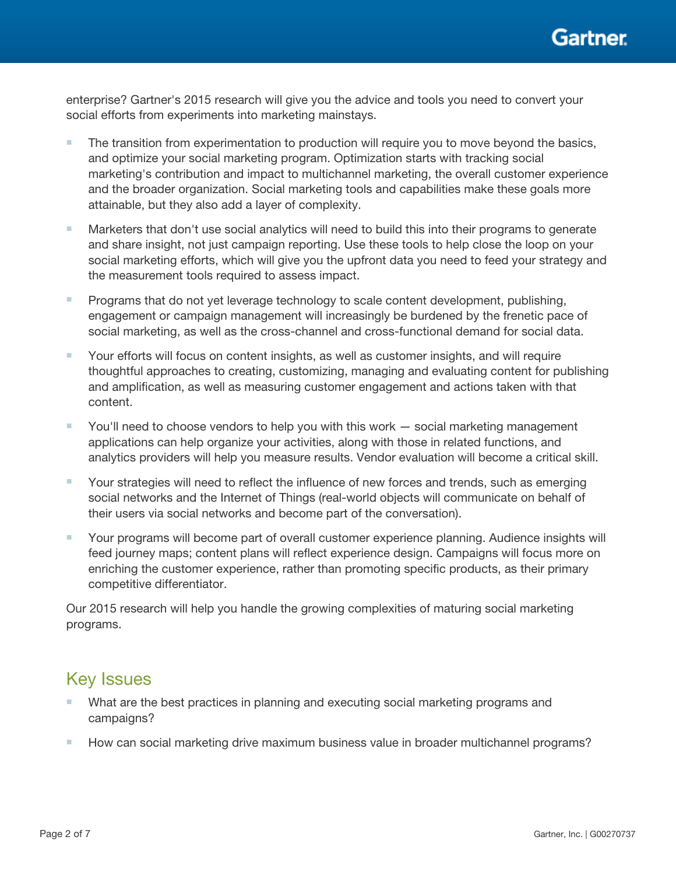

enterprise? Gartner's 2015 research will give you the advice and tools you need to convert your social efforts from experiments into marketing mainstays.

- The transition from experimentation to production will require you to move beyond the basics, and optimize your social marketing program. Optimization starts with tracking social marketing's contribution and impact to multichannel marketing, the overall customer experience and the broader organization. Social marketing tools and capabilities make these goals more attainable, but they also add a layer of complexity.
- Marketers that don't use social analytics will need to build this into their programs to generate and share insight, not just campaign reporting. Use these tools to help close the loop on your social marketing efforts, which will give you the upfront data you need to feed your strategy and the measurement tools required to assess impact.
- Programs that do not yet leverage technology to scale content development, publishing, engagement or campaign management will increasingly be burdened by the frenetic pace of social marketing, as well as the cross-channel and cross-functional demand for social data.
- Your efforts will focus on content insights, as well as customer insights, and will require thoughtful approaches to creating, customizing, managing and evaluating content for publishing and amplification, as well as measuring customer engagement and actions taken with that content.
- You'll need to choose vendors to help you with this work social marketing management applications can help organize your activities, along with those in related functions, and analytics providers will help you measure results. Vendor evaluation will become a critical skill.
- Your strategies will need to reflect the influence of new forces and trends, such as emerging social networks and the Internet of Things (real-world objects will communicate on behalf of their users via social networks and become part of the conversation).
- Your programs will become part of overall customer experience planning. Audience insights will feed journey maps; content plans will reflect experience design. Campaigns will focus more on enriching the customer experience, rather than promoting specific products, as their primary competitive differentiator.

Our 2015 research will help you handle the growing complexities of maturing social marketing programs.

# Key Issues

- What are the best practices in planning and executing social marketing programs and campaigns?
- How can social marketing drive maximum business value in broader multichannel programs?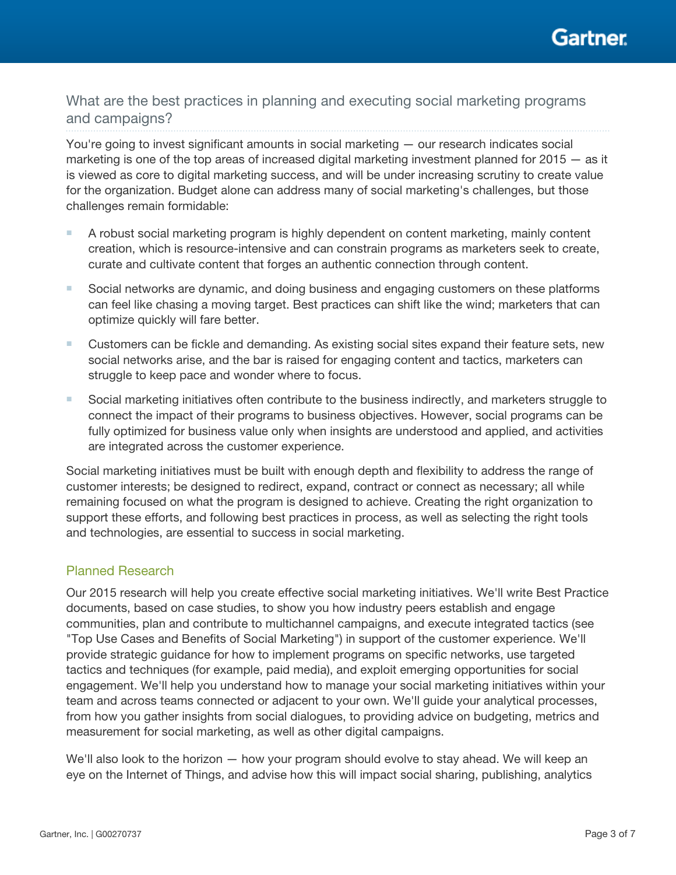

What are the best practices in planning and executing social marketing programs and campaigns?

You're going to invest significant amounts in social marketing — our research indicates social marketing is one of the top areas of increased digital marketing investment planned for 2015 — as it is viewed as core to digital marketing success, and will be under increasing scrutiny to create value for the organization. Budget alone can address many of social marketing's challenges, but those challenges remain formidable:

- A robust social marketing program is highly dependent on content marketing, mainly content creation, which is resource-intensive and can constrain programs as marketers seek to create, curate and cultivate content that forges an authentic connection through content.
- Social networks are dynamic, and doing business and engaging customers on these platforms can feel like chasing a moving target. Best practices can shift like the wind; marketers that can optimize quickly will fare better.
- Customers can be fickle and demanding. As existing social sites expand their feature sets, new social networks arise, and the bar is raised for engaging content and tactics, marketers can struggle to keep pace and wonder where to focus.
- Social marketing initiatives often contribute to the business indirectly, and marketers struggle to connect the impact of their programs to business objectives. However, social programs can be fully optimized for business value only when insights are understood and applied, and activities are integrated across the customer experience.

Social marketing initiatives must be built with enough depth and flexibility to address the range of customer interests; be designed to redirect, expand, contract or connect as necessary; all while remaining focused on what the program is designed to achieve. Creating the right organization to support these efforts, and following best practices in process, as well as selecting the right tools and technologies, are essential to success in social marketing.

## Planned Research

Our 2015 research will help you create effective social marketing initiatives. We'll write Best Practice documents, based on case studies, to show you how industry peers establish and engage communities, plan and contribute to multichannel campaigns, and execute integrated tactics (see "Top Use Cases and Benefits of Social Marketing") in support of the customer experience. We'll provide strategic guidance for how to implement programs on specific networks, use targeted tactics and techniques (for example, paid media), and exploit emerging opportunities for social engagement. We'll help you understand how to manage your social marketing initiatives within your team and across teams connected or adjacent to your own. We'll guide your analytical processes, from how you gather insights from social dialogues, to providing advice on budgeting, metrics and measurement for social marketing, as well as other digital campaigns.

We'll also look to the horizon — how your program should evolve to stay ahead. We will keep an eye on the Internet of Things, and advise how this will impact social sharing, publishing, analytics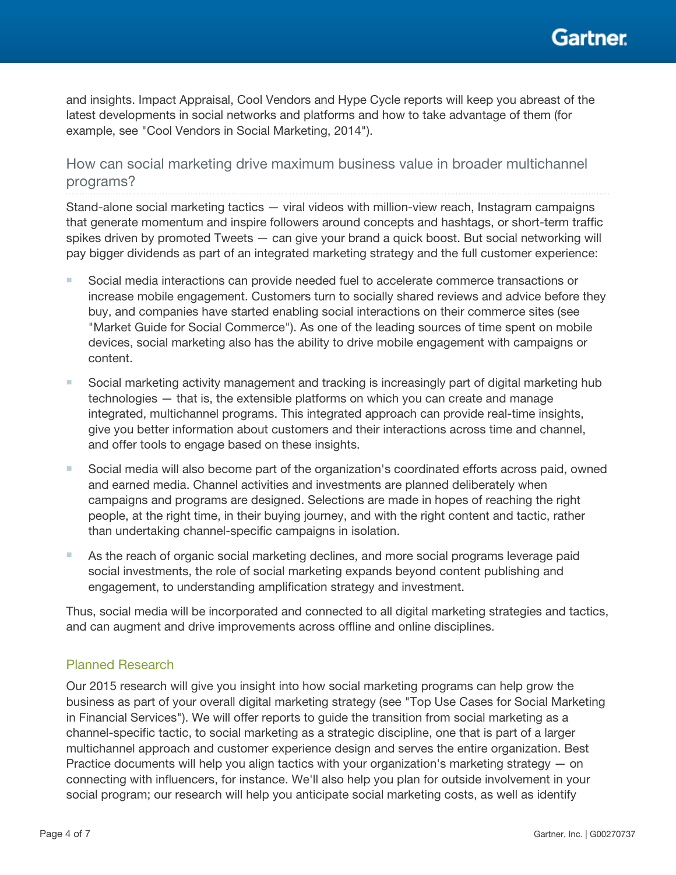and insights. Impact Appraisal, Cool Vendors and Hype Cycle reports will keep you abreast of the latest developments in social networks and platforms and how to take advantage of them (for example, see "Cool Vendors in Social Marketing, 2014").

How can social marketing drive maximum business value in broader multichannel programs?

Stand-alone social marketing tactics — viral videos with million-view reach, Instagram campaigns that generate momentum and inspire followers around concepts and hashtags, or short-term traffic spikes driven by promoted Tweets — can give your brand a quick boost. But social networking will pay bigger dividends as part of an integrated marketing strategy and the full customer experience:

- Social media interactions can provide needed fuel to accelerate commerce transactions or increase mobile engagement. Customers turn to socially shared reviews and advice before they buy, and companies have started enabling social interactions on their commerce sites (see "Market Guide for Social Commerce"). As one of the leading sources of time spent on mobile devices, social marketing also has the ability to drive mobile engagement with campaigns or content.
- Social marketing activity management and tracking is increasingly part of digital marketing hub technologies — that is, the extensible platforms on which you can create and manage integrated, multichannel programs. This integrated approach can provide real-time insights, give you better information about customers and their interactions across time and channel, and offer tools to engage based on these insights.
- Social media will also become part of the organization's coordinated efforts across paid, owned and earned media. Channel activities and investments are planned deliberately when campaigns and programs are designed. Selections are made in hopes of reaching the right people, at the right time, in their buying journey, and with the right content and tactic, rather than undertaking channel-specific campaigns in isolation.
- As the reach of organic social marketing declines, and more social programs leverage paid social investments, the role of social marketing expands beyond content publishing and engagement, to understanding amplification strategy and investment.

Thus, social media will be incorporated and connected to all digital marketing strategies and tactics, and can augment and drive improvements across offline and online disciplines.

## Planned Research

Our 2015 research will give you insight into how social marketing programs can help grow the business as part of your overall digital marketing strategy (see "Top Use Cases for Social Marketing in Financial Services"). We will offer reports to guide the transition from social marketing as a channel-specific tactic, to social marketing as a strategic discipline, one that is part of a larger multichannel approach and customer experience design and serves the entire organization. Best Practice documents will help you align tactics with your organization's marketing strategy — on connecting with influencers, for instance. We'll also help you plan for outside involvement in your social program; our research will help you anticipate social marketing costs, as well as identify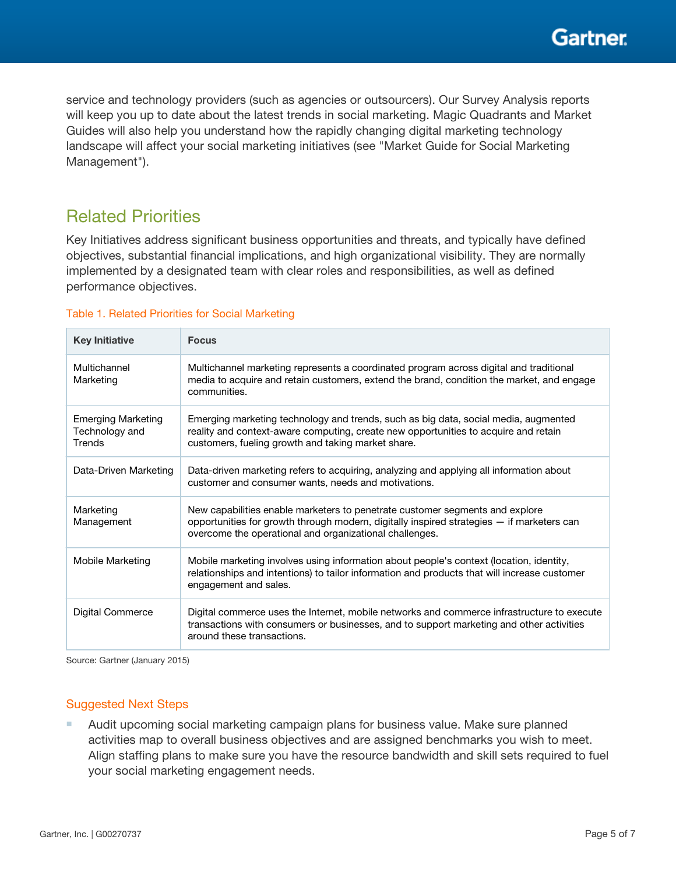**Gartner** 

service and technology providers (such as agencies or outsourcers). Our Survey Analysis reports will keep you up to date about the latest trends in social marketing. Magic Quadrants and Market Guides will also help you understand how the rapidly changing digital marketing technology landscape will affect your social marketing initiatives (see "Market Guide for Social Marketing Management").

# Related Priorities

Key Initiatives address significant business opportunities and threats, and typically have defined objectives, substantial financial implications, and high organizational visibility. They are normally implemented by a designated team with clear roles and responsibilities, as well as defined performance objectives.

### Table 1. Related Priorities for Social Marketing

| <b>Key Initiative</b>                                 | <b>Focus</b>                                                                                                                                                                                                                         |
|-------------------------------------------------------|--------------------------------------------------------------------------------------------------------------------------------------------------------------------------------------------------------------------------------------|
| Multichannel<br>Marketing                             | Multichannel marketing represents a coordinated program across digital and traditional<br>media to acquire and retain customers, extend the brand, condition the market, and engage<br>communities.                                  |
| <b>Emerging Marketing</b><br>Technology and<br>Trends | Emerging marketing technology and trends, such as big data, social media, augmented<br>reality and context-aware computing, create new opportunities to acquire and retain<br>customers, fueling growth and taking market share.     |
| Data-Driven Marketing                                 | Data-driven marketing refers to acquiring, analyzing and applying all information about<br>customer and consumer wants, needs and motivations.                                                                                       |
| Marketing<br>Management                               | New capabilities enable marketers to penetrate customer segments and explore<br>opportunities for growth through modern, digitally inspired strategies - if marketers can<br>overcome the operational and organizational challenges. |
| Mobile Marketing                                      | Mobile marketing involves using information about people's context (location, identity,<br>relationships and intentions) to tailor information and products that will increase customer<br>engagement and sales.                     |
| Digital Commerce                                      | Digital commerce uses the Internet, mobile networks and commerce infrastructure to execute<br>transactions with consumers or businesses, and to support marketing and other activities<br>around these transactions.                 |

Source: Gartner (January 2015)

## Suggested Next Steps

■ Audit upcoming social marketing campaign plans for business value. Make sure planned activities map to overall business objectives and are assigned benchmarks you wish to meet. Align staffing plans to make sure you have the resource bandwidth and skill sets required to fuel your social marketing engagement needs.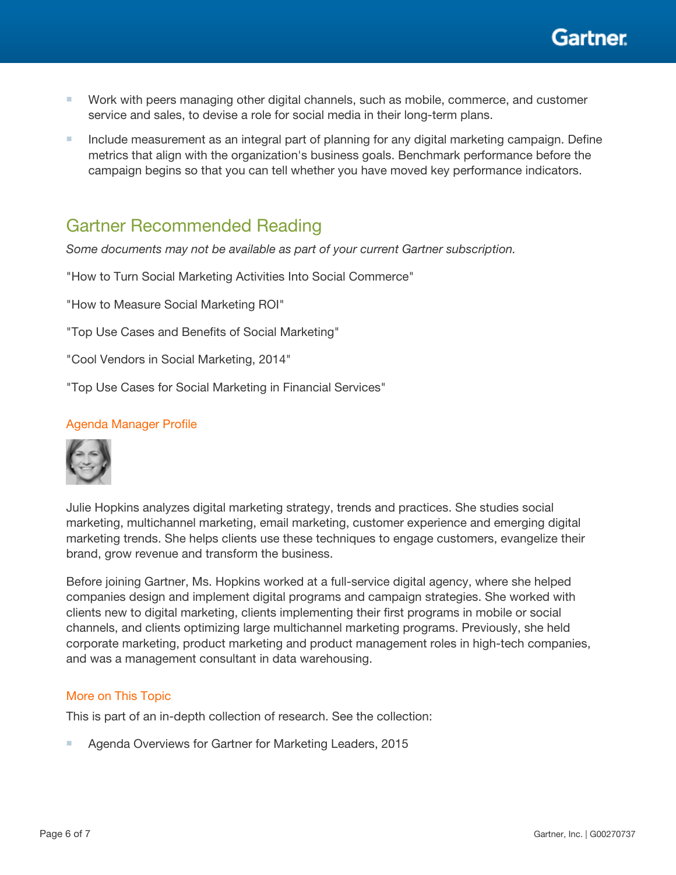

- Work with peers managing other digital channels, such as mobile, commerce, and customer service and sales, to devise a role for social media in their long-term plans.
- Include measurement as an integral part of planning for any digital marketing campaign. Define metrics that align with the organization's business goals. Benchmark performance before the campaign begins so that you can tell whether you have moved key performance indicators.

# Gartner Recommended Reading

*Some documents may not be available as part of your current Gartner subscription.*

"How to Turn Social Marketing Activities Into Social Commerce"

"How to Measure Social Marketing ROI"

"Top Use Cases and Benefits of Social Marketing"

"Cool Vendors in Social Marketing, 2014"

"Top Use Cases for Social Marketing in Financial Services"

### Agenda Manager Profile



Julie Hopkins analyzes digital marketing strategy, trends and practices. She studies social marketing, multichannel marketing, email marketing, customer experience and emerging digital marketing trends. She helps clients use these techniques to engage customers, evangelize their brand, grow revenue and transform the business.

Before joining Gartner, Ms. Hopkins worked at a full-service digital agency, where she helped companies design and implement digital programs and campaign strategies. She worked with clients new to digital marketing, clients implementing their first programs in mobile or social channels, and clients optimizing large multichannel marketing programs. Previously, she held corporate marketing, product marketing and product management roles in high-tech companies, and was a management consultant in data warehousing.

#### More on This Topic

This is part of an in-depth collection of research. See the collection:

Agenda Overviews for Gartner for Marketing Leaders, 2015